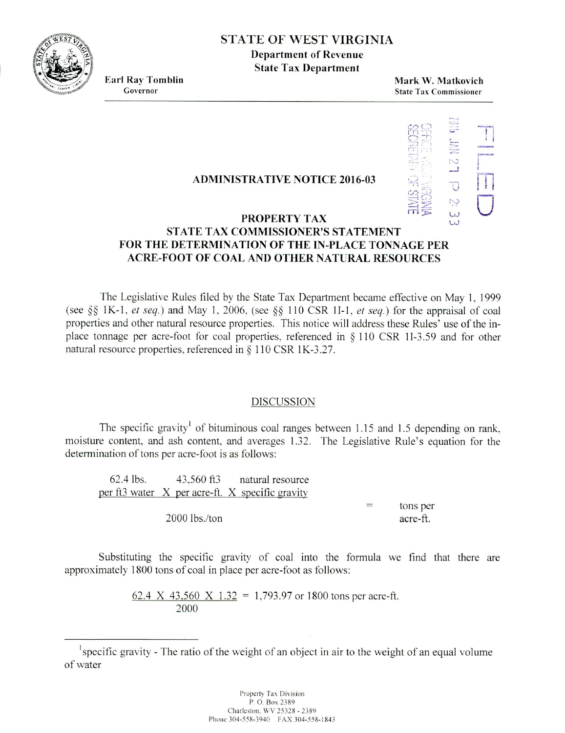

## **,s** STATE OF WEST VIRGINIA

**Department of Revenue State Tax Department**

**Earl Ray Tomblin Mark W. Matkovich** Governor State Tax Commissioner State Tax Commissioner



# PROPERTY TAX<br>
UNIX DROPERTY TAX **STATE TAX COMMISSIONER'S STATEMENT FOR THE DETERMINATION OF THE IN-PLACE TONNAGE PER ACRE-FOOT OF COAL AND OTHER NATURAL RESOURCES**

**ADMINISTRATIVE NOTICE 2016-03**

The Legislative Rules filed by the State Tax Department became effective on May 1. 1999 (see  $\S$ § 1K-1, *et seq.*) and May 1, 2006, (see  $\S$ § 110 CSR 1I-1, *et seq.*) for the appraisal of coal properties and other natural resource properties. This notice will address these Rules' use of the inplace tonnage per acre-foot for coal properties, referenced in  $\S$  110 CSR 1I-3.59 and for other natural resource properties, referenced in § 110 CSR 1K-3.27.

## DISCUSSION

The specific gravity<sup>1</sup> of bituminous coal ranges between 1.15 and 1.5 depending on rank, moisture content. and ash content, and averages 1.32. The Legislative Rule's equation for the determination of tons per acre-foot is as follows:

| 62.4 lbs. | 43,560 ft3 natural resource                     |     |          |
|-----------|-------------------------------------------------|-----|----------|
|           | per ft3 water X per acre-ft. X specific gravity |     |          |
|           |                                                 | $=$ | tons per |
|           | $2000$ lbs./ton                                 |     | acre-ft. |

Substituting the specific gravity of coal into the formula we find that there are approximately 1800 tons of coal in place per acre-foot as follows:

> 62.4 X 43,560 X 1.32 = 1,793.97 or 1800 tons per acre-ft. 2000

 $\mu$ <sup>1</sup> specific gravity - The ratio of the weight of an object in air to the weight of an equal volume of water